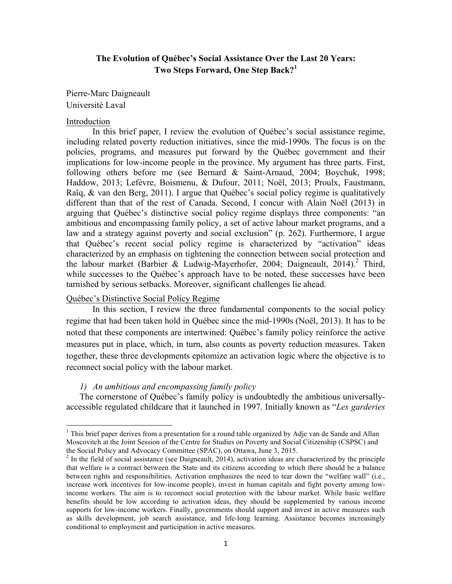# **The Evolution of Québec's Social Assistance Over the Last 20 Years: Two Steps Forward, One Step Back?1**

Pierre-Marc Daigneault Université Laval

#### Introduction

In this brief paper, I review the evolution of Québec's social assistance regime, including related poverty reduction initiatives, since the mid-1990s. The focus is on the policies, programs, and measures put forward by the Québec government and their implications for low-income people in the province. My argument has three parts. First, following others before me (see Bernard & Saint-Arnaud, 2004; Boychuk, 1998; Haddow, 2013; Lefèvre, Boismenu, & Dufour, 2011; Noël, 2013; Proulx, Faustmann, Raïq, & van den Berg, 2011). I argue that Québec's social policy regime is qualitatively different than that of the rest of Canada. Second, I concur with Alain Noël (2013) in arguing that Québec's distinctive social policy regime displays three components: "an ambitious and encompassing family policy, a set of active labour market programs, and a law and a strategy against poverty and social exclusion" (p. 262). Furthermore, I argue that Québec's recent social policy regime is characterized by "activation" ideas characterized by an emphasis on tightening the connection between social protection and the labour market (Barbier & Ludwig-Mayerhofer, 2004; Daigneault, 2014).<sup>2</sup> Third, while successes to the Québec's approach have to be noted, these successes have been tarnished by serious setbacks. Moreover, significant challenges lie ahead.

# Québec's Distinctive Social Policy Regime

<u> 1989 - Jan Samuel Barbara, margaret e</u>

In this section, I review the three fundamental components to the social policy regime that had been taken hold in Québec since the mid-1990s (Noël, 2013). It has to be noted that these components are intertwined: Québec's family policy reinforce the active measures put in place, which, in turn, also counts as poverty reduction measures. Taken together, these three developments epitomize an activation logic where the objective is to reconnect social policy with the labour market.

## *1) An ambitious and encompassing family policy*

The cornerstone of Québec's family policy is undoubtedly the ambitious universallyaccessible regulated childcare that it launched in 1997. Initially known as "*Les garderies* 

 $1$  This brief paper derives from a presentation for a round table organized by Adje van de Sande and Allan Moscovitch at the Joint Session of the Centre for Studies on Poverty and Social Citizenship (CSPSC) and the Social Policy and Advocacy Committee (SPAC), on Ottawa, June 3, 2015.

 $<sup>2</sup>$  In the field of social assistance (see Daigneault, 2014), activation ideas are characterized by the principle</sup> that welfare is a contract between the State and its citizens according to which there should be a balance between rights and responsibilities. Activation emphasizes the need to tear down the "welfare wall" (i.e., increase work incentives for low-income people), invest in human capitals and fight poverty among lowincome workers. The aim is to reconnect social protection with the labour market. While basic welfare benefits should be low according to activation ideas, they should be supplemented by various income supports for low-income workers. Finally, governments should support and invest in active measures such as skills development, job search assistance, and life-long learning. Assistance becomes increasingly conditional to employment and participation in active measures.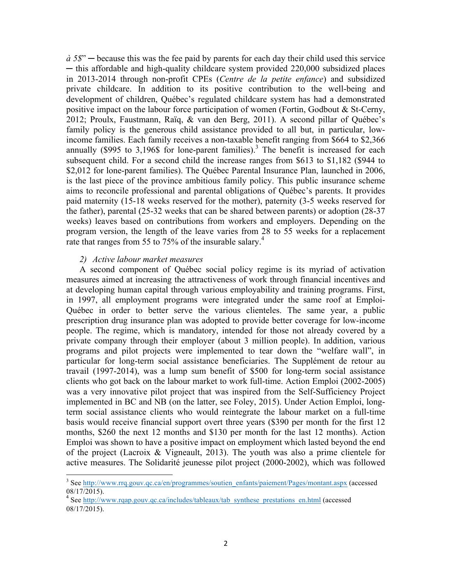*à 5\$*" ─ because this was the fee paid by parents for each day their child used this service ─ this affordable and high-quality childcare system provided 220,000 subsidized places in 2013-2014 through non-profit CPEs (*Centre de la petite enfance*) and subsidized private childcare. In addition to its positive contribution to the well-being and development of children, Québec's regulated childcare system has had a demonstrated positive impact on the labour force participation of women (Fortin, Godbout & St-Cerny, 2012; Proulx, Faustmann, Raïq, & van den Berg, 2011). A second pillar of Québec's family policy is the generous child assistance provided to all but, in particular, lowincome families. Each family receives a non-taxable benefit ranging from \$664 to \$2,366 annually  $(\$995$  to 3,196\$ for lone-parent families).<sup>3</sup> The benefit is increased for each subsequent child. For a second child the increase ranges from \$613 to \$1,182 (\$944 to \$2,012 for lone-parent families). The Québec Parental Insurance Plan, launched in 2006, is the last piece of the province ambitious family policy. This public insurance scheme aims to reconcile professional and parental obligations of Québec's parents. It provides paid maternity (15-18 weeks reserved for the mother), paternity (3-5 weeks reserved for the father), parental (25-32 weeks that can be shared between parents) or adoption (28-37 weeks) leaves based on contributions from workers and employers. Depending on the program version, the length of the leave varies from 28 to 55 weeks for a replacement rate that ranges from 55 to 75% of the insurable salary.<sup>4</sup>

# *2) Active labour market measures*

<u> 1989 - Jan Samuel Barbara, margaret e</u>

A second component of Québec social policy regime is its myriad of activation measures aimed at increasing the attractiveness of work through financial incentives and at developing human capital through various employability and training programs. First, in 1997, all employment programs were integrated under the same roof at Emploi-Québec in order to better serve the various clienteles. The same year, a public prescription drug insurance plan was adopted to provide better coverage for low-income people. The regime, which is mandatory, intended for those not already covered by a private company through their employer (about 3 million people). In addition, various programs and pilot projects were implemented to tear down the "welfare wall", in particular for long-term social assistance beneficiaries. The Supplément de retour au travail (1997-2014), was a lump sum benefit of \$500 for long-term social assistance clients who got back on the labour market to work full-time. Action Emploi (2002-2005) was a very innovative pilot project that was inspired from the Self-Sufficiency Project implemented in BC and NB (on the latter, see Foley, 2015). Under Action Emploi, longterm social assistance clients who would reintegrate the labour market on a full-time basis would receive financial support overt three years (\$390 per month for the first 12 months, \$260 the next 12 months and \$130 per month for the last 12 months). Action Emploi was shown to have a positive impact on employment which lasted beyond the end of the project (Lacroix & Vigneault, 2013). The youth was also a prime clientele for active measures. The Solidarité jeunesse pilot project (2000-2002), which was followed

<sup>&</sup>lt;sup>3</sup> See http://www.rrq.gouv.qc.ca/en/programmes/soutien\_enfants/paiement/Pages/montant.aspx (accessed 08/17/2015).<br><sup>4</sup> See http://www.rqap.gouv.qc.ca/includes/tableaux/tab\_synthese\_prestations\_en.html (accessed

<sup>08/17/2015).</sup>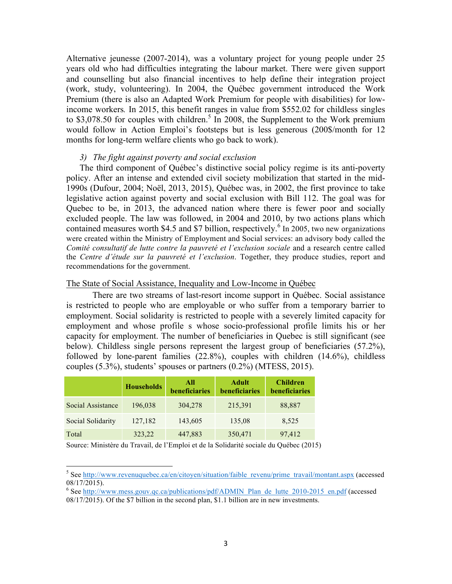Alternative jeunesse (2007-2014), was a voluntary project for young people under 25 years old who had difficulties integrating the labour market. There were given support and counselling but also financial incentives to help define their integration project (work, study, volunteering). In 2004, the Québec government introduced the Work Premium (there is also an Adapted Work Premium for people with disabilities) for lowincome workers*.* In 2015, this benefit ranges in value from \$552.02 for childless singles to \$3,078.50 for couples with children.<sup>5</sup> In 2008, the Supplement to the Work premium would follow in Action Emploi's footsteps but is less generous (200\$/month for 12 months for long-term welfare clients who go back to work).

#### *3) The fight against poverty and social exclusion*

The third component of Québec's distinctive social policy regime is its anti-poverty policy. After an intense and extended civil society mobilization that started in the mid-1990s (Dufour, 2004; Noël, 2013, 2015), Québec was, in 2002, the first province to take legislative action against poverty and social exclusion with Bill 112. The goal was for Quebec to be, in 2013, the advanced nation where there is fewer poor and socially excluded people. The law was followed, in 2004 and 2010, by two actions plans which contained measures worth \$4.5 and \$7 billion, respectively.<sup>6</sup> In 2005, two new organizations were created within the Ministry of Employment and Social services: an advisory body called the *Comité consultatif de lutte contre la pauvreté et l'exclusion sociale* and a research centre called the *Centre d'étude sur la pauvreté et l'exclusion*. Together, they produce studies, report and recommendations for the government.

# The State of Social Assistance, Inequality and Low-Income in Québec

There are two streams of last-resort income support in Québec. Social assistance is restricted to people who are employable or who suffer from a temporary barrier to employment. Social solidarity is restricted to people with a severely limited capacity for employment and whose profile s whose socio-professional profile limits his or her capacity for employment. The number of beneficiaries in Quebec is still significant (see below). Childless single persons represent the largest group of beneficiaries (57.2%), followed by lone-parent families (22.8%), couples with children (14.6%), childless couples (5.3%), students' spouses or partners (0.2%) (MTESS, 2015).

|                   | <b>Households</b> | All<br>beneficiaries | <b>Adult</b><br>beneficiaries | <b>Children</b><br>beneficiaries |
|-------------------|-------------------|----------------------|-------------------------------|----------------------------------|
| Social Assistance | 196,038           | 304,278              | 215,391                       | 88,887                           |
| Social Solidarity | 127,182           | 143,605              | 135,08                        | 8,525                            |
| Total             | 323,22            | 447,883              | 350,471                       | 97,412                           |

Source: Ministère du Travail, de l'Emploi et de la Solidarité sociale du Québec (2015)

<u> 1989 - Jan Samuel Barbara, margaret e</u>

<sup>&</sup>lt;sup>5</sup> See http://www.revenuquebec.ca/en/citoyen/situation/faible\_revenu/prime\_travail/montant.aspx (accessed 08/17/2015).<br><sup>6</sup> See http://www.mess.gouv.qc.ca/publications/pdf/ADMIN\_Plan\_de\_lutte\_2010-2015\_en.pdf (accessed

<sup>08/17/2015).</sup> Of the \$7 billion in the second plan, \$1.1 billion are in new investments.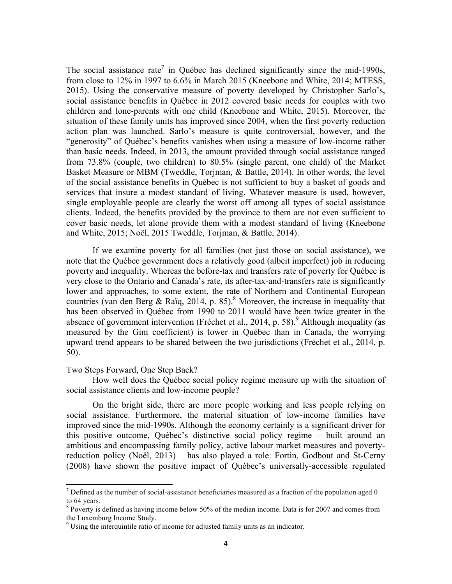The social assistance rate<sup>7</sup> in Québec has declined significantly since the mid-1990s, from close to 12% in 1997 to 6.6% in March 2015 (Kneebone and White, 2014; MTESS, 2015). Using the conservative measure of poverty developed by Christopher Sarlo's, social assistance benefits in Québec in 2012 covered basic needs for couples with two children and lone-parents with one child (Kneebone and White, 2015). Moreover, the situation of these family units has improved since 2004, when the first poverty reduction action plan was launched. Sarlo's measure is quite controversial, however, and the "generosity" of Québec's benefits vanishes when using a measure of low-income rather than basic needs. Indeed, in 2013, the amount provided through social assistance ranged from 73.8% (couple, two children) to 80.5% (single parent, one child) of the Market Basket Measure or MBM (Tweddle, Torjman, & Battle, 2014). In other words, the level of the social assistance benefits in Québec is not sufficient to buy a basket of goods and services that insure a modest standard of living. Whatever measure is used, however, single employable people are clearly the worst off among all types of social assistance clients. Indeed, the benefits provided by the province to them are not even sufficient to cover basic needs, let alone provide them with a modest standard of living (Kneebone and White, 2015; Noël, 2015 Tweddle, Torjman, & Battle, 2014).

If we examine poverty for all families (not just those on social assistance), we note that the Québec government does a relatively good (albeit imperfect) job in reducing poverty and inequality. Whereas the before-tax and transfers rate of poverty for Québec is very close to the Ontario and Canada's rate, its after-tax-and-transfers rate is significantly lower and approaches, to some extent, the rate of Northern and Continental European countries (van den Berg & Raïq, 2014, p. 85).<sup>8</sup> Moreover, the increase in inequality that has been observed in Québec from 1990 to 2011 would have been twice greater in the absence of government intervention (Fréchet et al., 2014, p. 58).<sup>9</sup> Although inequality (as measured by the Gini coefficient) is lower in Québec than in Canada, the worrying upward trend appears to be shared between the two jurisdictions (Fréchet et al., 2014, p. 50).

#### Two Steps Forward, One Step Back?

How well does the Québec social policy regime measure up with the situation of social assistance clients and low-income people?

On the bright side, there are more people working and less people relying on social assistance. Furthermore, the material situation of low-income families have improved since the mid-1990s. Although the economy certainly is a significant driver for this positive outcome, Québec's distinctive social policy regime – built around an ambitious and encompassing family policy, active labour market measures and povertyreduction policy (Noël, 2013) – has also played a role. Fortin, Godbout and St-Cerny (2008) have shown the positive impact of Québec's universally-accessible regulated

 $7$  Defined as the number of social-assistance beneficiaries measured as a fraction of the population aged 0 to 64 years.

<sup>&</sup>lt;sup>8</sup> Poverty is defined as having income below 50% of the median income. Data is for 2007 and comes from the Luxemburg Income Study.

 $9^9$  Using the interquintile ratio of income for adjusted family units as an indicator.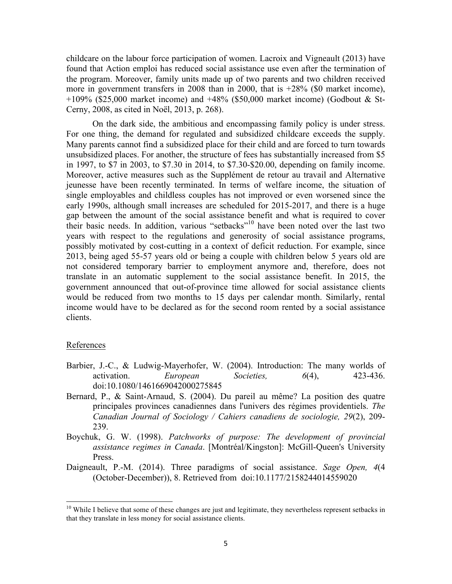childcare on the labour force participation of women. Lacroix and Vigneault (2013) have found that Action emploi has reduced social assistance use even after the termination of the program. Moreover, family units made up of two parents and two children received more in government transfers in 2008 than in 2000, that is +28% (\$0 market income), +109% (\$25,000 market income) and +48% (\$50,000 market income) (Godbout & St-Cerny, 2008, as cited in Noël, 2013, p. 268).

On the dark side, the ambitious and encompassing family policy is under stress. For one thing, the demand for regulated and subsidized childcare exceeds the supply. Many parents cannot find a subsidized place for their child and are forced to turn towards unsubsidized places. For another, the structure of fees has substantially increased from \$5 in 1997, to \$7 in 2003, to \$7.30 in 2014, to \$7.30-\$20.00, depending on family income. Moreover, active measures such as the Supplément de retour au travail and Alternative jeunesse have been recently terminated. In terms of welfare income, the situation of single employables and childless couples has not improved or even worsened since the early 1990s, although small increases are scheduled for 2015-2017, and there is a huge gap between the amount of the social assistance benefit and what is required to cover their basic needs. In addition, various "setbacks"<sup>10</sup> have been noted over the last two years with respect to the regulations and generosity of social assistance programs, possibly motivated by cost-cutting in a context of deficit reduction. For example, since 2013, being aged 55-57 years old or being a couple with children below 5 years old are not considered temporary barrier to employment anymore and, therefore, does not translate in an automatic supplement to the social assistance benefit. In 2015, the government announced that out-of-province time allowed for social assistance clients would be reduced from two months to 15 days per calendar month. Similarly, rental income would have to be declared as for the second room rented by a social assistance clients.

#### References

<u> 1989 - Jan Samuel Barbara, margaret e</u>

- Barbier, J.-C., & Ludwig-Mayerhofer, W. (2004). Introduction: The many worlds of activation. *European Societies, 6*(4), 423-436. doi:10.1080/1461669042000275845
- Bernard, P., & Saint-Arnaud, S. (2004). Du pareil au même? La position des quatre principales provinces canadiennes dans l'univers des régimes providentiels. *The Canadian Journal of Sociology / Cahiers canadiens de sociologie, 29*(2), 209- 239.
- Boychuk, G. W. (1998). *Patchworks of purpose: The development of provincial assistance regimes in Canada*. [Montréal/Kingston]: McGill-Queen's University Press.
- Daigneault, P.-M. (2014). Three paradigms of social assistance. *Sage Open, 4*(4 (October-December)), 8. Retrieved from doi:10.1177/2158244014559020

<sup>&</sup>lt;sup>10</sup> While I believe that some of these changes are just and legitimate, they nevertheless represent setbacks in that they translate in less money for social assistance clients.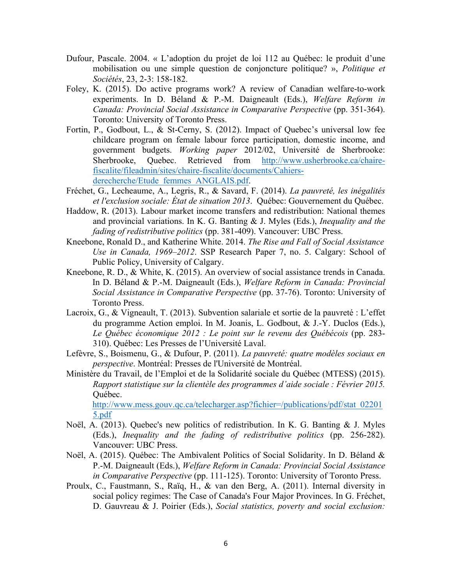- Dufour, Pascale. 2004. « L'adoption du projet de loi 112 au Québec: le produit d'une mobilisation ou une simple question de conjoncture politique? », *Politique et Sociétés*, 23, 2-3: 158-182.
- Foley, K. (2015). Do active programs work? A review of Canadian welfare-to-work experiments. In D. Béland & P.-M. Daigneault (Eds.), *Welfare Reform in Canada: Provincial Social Assistance in Comparative Perspective* (pp. 351-364). Toronto: University of Toronto Press.
- Fortin, P., Godbout, L., & St-Cerny, S. (2012). Impact of Quebec's universal low fee childcare program on female labour force participation, domestic income, and government budgets. *Working paper* 2012/02, Université de Sherbrooke: Sherbrooke, Quebec. Retrieved from http://www.usherbrooke.ca/chairefiscalite/fileadmin/sites/chaire-fiscalite/documents/Cahiersderecherche/Etude\_femmes\_ANGLAIS.pdf.
- Fréchet, G., Lecheaume, A., Legris, R., & Savard, F. (2014). *La pauvreté, les inégalités et l'exclusion sociale: État de situation 2013*. Québec: Gouvernement du Québec.
- Haddow, R. (2013). Labour market income transfers and redistribution: National themes and provincial variations. In K. G. Banting & J. Myles (Eds.), *Inequality and the fading of redistributive politics* (pp. 381-409). Vancouver: UBC Press.
- Kneebone, Ronald D., and Katherine White. 2014. *The Rise and Fall of Social Assistance Use in Canada, 1969–2012*. SSP Research Paper 7, no. 5. Calgary: School of Public Policy, University of Calgary.
- Kneebone, R. D., & White, K. (2015). An overview of social assistance trends in Canada. In D. Béland & P.-M. Daigneault (Eds.), *Welfare Reform in Canada: Provincial Social Assistance in Comparative Perspective* (pp. 37-76). Toronto: University of Toronto Press.
- Lacroix, G., & Vigneault, T. (2013). Subvention salariale et sortie de la pauvreté : L'effet du programme Action emploi. In M. Joanis, L. Godbout, & J.-Y. Duclos (Eds.), *Le Québec économique 2012 : Le point sur le revenu des Québécois* (pp. 283- 310). Québec: Les Presses de l'Université Laval.
- Lefèvre, S., Boismenu, G., & Dufour, P. (2011). *La pauvreté: quatre modèles sociaux en perspective*. Montréal: Presses de l'Université de Montréal.
- Ministère du Travail, de l'Emploi et de la Solidarité sociale du Québec (MTESS) (2015). *Rapport statistique sur la clientèle des programmes d'aide sociale : Février 2015.*  Québec.

http://www.mess.gouv.qc.ca/telecharger.asp?fichier=/publications/pdf/stat\_02201 5.pdf

- Noël, A. (2013). Quebec's new politics of redistribution. In K. G. Banting & J. Myles (Eds.), *Inequality and the fading of redistributive politics* (pp. 256-282). Vancouver: UBC Press.
- Noël, A. (2015). Québec: The Ambivalent Politics of Social Solidarity. In D. Béland & P.-M. Daigneault (Eds.), *Welfare Reform in Canada: Provincial Social Assistance in Comparative Perspective* (pp. 111-125). Toronto: University of Toronto Press.
- Proulx, C., Faustmann, S., Raïq, H., & van den Berg, A. (2011). Internal diversity in social policy regimes: The Case of Canada's Four Major Provinces. In G. Fréchet, D. Gauvreau & J. Poirier (Eds.), *Social statistics, poverty and social exclusion:*